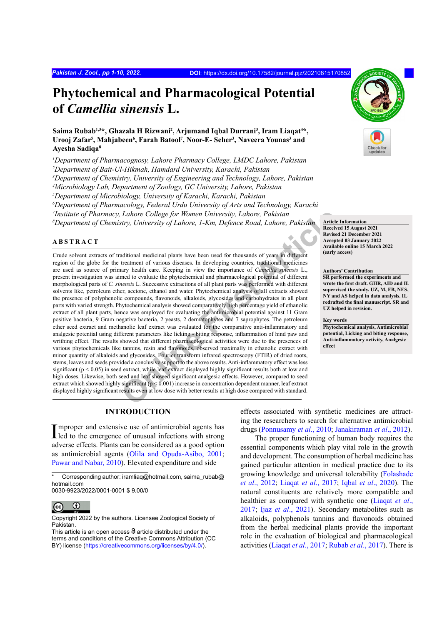# **Phytochemical and Pharmacological Potential of** *Camellia sinensis* **L.**

Saima Rubab<sup>1,3</sup>\*, Ghazala H Rizwani<sup>2</sup>, Arjumand Iqbal Durrani<sup>3</sup>, Iram Liaqat<sup>4</sup>\*, Urooj Zafar<sup>5</sup>, Mahjabeen<sup>6</sup>, Farah Batool<sup>7</sup>, Noor-E- Seher<sup>3</sup>, Naveera Younas<sup>3</sup> and **Ayesha Sadiqa8**

*1 Department of Pharmacognosy, Lahore Pharmacy College, LMDC Lahore, Pakistan*

*2 Department of Bait-Ul-Hikmah, Hamdard University, Karachi, Pakistan*

*3 Department of Chemistry, University of Engineering and Technology, Lahore, Pakistan*

*4 Microbiology Lab, Department of Zoology, GC University, Lahore, Pakistan*

*5 Department of Microbiology, University of Karachi, Karachi, Pakistan*

*6 Department of Pharmacology, Federal Urdu University of Arts and Technology, Karachi*

*7 Institute of Pharmacy, Lahore College for Women University, Lahore, Pakistan*

*8 Department of Chemistry, University of Lahore, 1-Km, Defence Road, Lahore, Pakistan* **Article Information**

# **ABSTRACT**

*Lahore College for Women University, Lahore, Pakistan*<br> *Stry, University of Lahore, 1-Km, Defence Road, Lahore, Pakistan*<br> **Article**<br> **Article**<br> **Decisional** medicinal plants have been used for thousands of years in diff Crude solvent extracts of traditional medicinal plants have been used for thousands of years in different region of the globe for the treatment of various diseases. In developing countries, traditional medicines are used as source of primary health care. Keeping in view the importance of *Camellia sinensis* L., present investigation was aimed to evaluate the phytochemical and pharmacological potential of different morphological parts of *C. sinensis* L. Successive extractions of all plant parts was performed with different solvents like, petroleum ether, acetone, ethanol and water. Phytochemical analysis of all extracts showed the presence of polyphenolic compounds, flavonoids, alkaloids, glycosides and carbohydrates in all plant parts with varied strength. Phytochemical analysis showed comparatively high percentage yield of ethanolic extract of all plant parts, hence was employed for evaluating the antimicrobial potential against 11 Gram positive bacteria, 9 Gram negative bacteria, 2 yeasts, 2 dermatophytes and 7 saprophytes. The petroleum ether seed extract and methanolic leaf extract was evaluated for the comparative anti-inflammatory and analgesic potential using different parameters like licking - biting response, inflammation of hind paw and writhing effect. The results showed that different pharmacological activities were due to the presences of various phytochemicals like tannins, resin and flavonoids, observed maximally in ethanolic extract with minor quantity of alkaloids and glycosides. Fourier transform infrared spectroscopy (FTIR) of dried roots, stems, leaves and seeds provided a conclusive support to the above results. Anti-inflammatory effect was less significant ( $p < 0.05$ ) in seed extract, while leaf extract displayed highly significant results both at low and high doses. Likewise, both seed and leaf showed significant analgesic effects. However, compared to seed extract which showed highly significant (p < 0.001) increase in concentration dependent manner, leaf extract displayed highly significant results even at low dose with better results at high dose compared with standard.

# **INTRODUCTION**

Improper and extensive use of antimicrobial agents has<br>led to the emergence of unusual infections with strong led to the emergence of unusual infections with strong adverse effects. Plants can be considered as a good option as antimicrobial agents (Olila and Opuda-Asibo, 2001; Pawar and Nabar, 2010). Elevated expenditure and side

0030-9923/2022/0001-0001 \$ 9.00/0



Copyright 2022 by the authors. Licensee Zoological Society of Pakistan.

effects associated with synthetic medicines are attracting the researchers to search for alternative antimicrobial drugs (Ponnusamy *et al*., 2010; Janakiraman *et al*., 2012).

The proper functioning of human body requires the essential components which play vital role in the growth and development. The consumption of herbal medicine has gained particular attention in medical practice due to its growing knowledge and universal tolerability (Folashade *et al*., 2012; Liaqat *et al*., 2017; Iqbal *et al*., 2020). The natural constituents are relatively more compatible and healthier as compared with synthetic one (Liaqat *et al*., 2017; Ijaz *et al*., 2021). Secondary metabolites such as alkaloids, polyphenols tannins and flavonoids obtained from the herbal medicinal plants provide the important role in the evaluation of biological and pharmacological activities (Liaqat *et al*., 2017; Rubab *et al*., 2017). There is

**Received 15 August 2021 Revised 21 December 2021 Accepted 03 January 2022 Available online 15 March 2022 (early access)**

**Authors' Contribution**

**SR performed the experiments and wrote the first draft. GHR, AID and IL supervised the study. UZ, M, FB, NES, NY and AS helped in data analysis. IL redrafted the final manuscript. SR and UZ helped in revision.** 

#### **Key words**

**Phytochemical analysis, Antimicrobial potential, Licking and biting response, Anti-inflammatory activity, Analgesic effect**



Corresponding author: iramliag@hotmail.com, saima\_rubab@ hotmail.com

This article is an open access  $\Theta$  article distributed under the terms and conditions of the Creative Commons Attribution (CC BY) license (https://creativecommons.org/licenses/by/4.0/).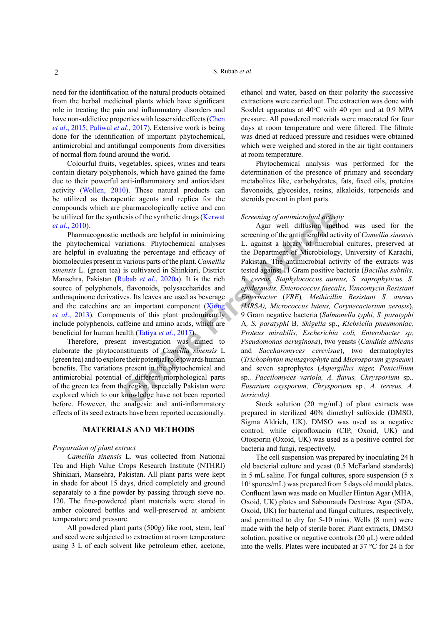need for the identification of the natural products obtained from the herbal medicinal plants which have significant role in treating the pain and inflammatory disorders and have non-addictive properties with lesser side effects (Chen *et al*., 2015; Paliwal *et al*., 2017). Extensive work is being done for the identification of important phytochemical, antimicrobial and antifungal components from diversities of normal flora found around the world.

Colourful fruits, vegetables, spices, wines and tears contain dietary polyphenols, which have gained the fame due to their powerful anti-inflammatory and antioxidant activity (Wollen, 2010). These natural products can be utilized as therapeutic agents and replica for the compounds which are pharmacologically active and can be utilized for the synthesis of the synthetic drugs (Kerwat *et al*., 2010).

Pharmacognostic methods are helpful in minimizing the phytochemical variations. Phytochemical analyses are helpful in evaluating the percentage and efficacy of biomolecules present in various parts of the plant. *Camellia sinensis* L. (green tea) is cultivated in Shinkiari, District Mansehra, Pakistan (Rubab *et al*., 2020a). It is the rich source of polyphenols, flavonoids, polysaccharides and anthraquinone derivatives. Its leaves are used as beverage and the catechins are an important component (Xiong *et al*., 2013). Components of this plant predominantly include polyphenols, caffeine and amino acids, which are beneficial for human health (Tatiya *et al*., 2017).

Therefore, present investigation was aimed to elaborate the phytoconstituents of *Camellia sinensis* L (green tea) and to explore their potential role towards human benefits. The variations present in the phytochemical and antimicrobial potential of different morphological parts of the green tea from the region, especially Pakistan were explored which to our knowledge have not been reported before. However, the analgesic and anti-inflammatory effects of its seed extracts have been reported occasionally.

## **MATERIALS AND METHODS**

### *Preparation of plant extract*

*Camellia sinensis* L. was collected from National Tea and High Value Crops Research Institute (NTHRI) Shinkiari, Mansehra, Pakistan. All plant parts were kept in shade for about 15 days, dried completely and ground separately to a fine powder by passing through sieve no. 120. The fine-powdered plant materials were stored in amber coloured bottles and well-preserved at ambient temperature and pressure.

All powdered plant parts (500g) like root, stem, leaf and seed were subjected to extraction at room temperature using 3 L of each solvent like petroleum ether, acetone,

ethanol and water, based on their polarity the successive extractions were carried out. The extraction was done with Soxhlet apparatus at  $40^{\circ}$ C with 40 rpm and at 0.9 MPA pressure. All powdered materials were macerated for four days at room temperature and were filtered. The filtrate was dried at reduced pressure and residues were obtained which were weighed and stored in the air tight containers at room temperature.

Phytochemical analysis was performed for the determination of the presence of primary and secondary metabolites like, carbohydrates, fats, fixed oils, proteins flavonoids, glycosides, resins, alkaloids, terpenoids and steroids present in plant parts.

### *Screening of antimicrobial activity*

**EXECUTE:**<br> **EXECUTE:**<br> **EXECUTE:**<br> **EXECUTE:**<br> **EXECUTE:**<br> **EXECUTE:**<br> **EXECUTE:**<br> **EXECUTE:**<br> **EXECUTE:**<br> **EXECUTE:**<br> **EXECUTE:**<br> **EXECUTE:**<br> **EXECUTE:**<br> **EXECUTE:**<br> **EXECUTE:**<br> **EXECUTE:**<br> **EXECUTE:**<br> **EXECUTE:**<br> **EXECU** Agar well diffusion method was used for the screening of the antimicrobial activity of *Camellia sinensis*  L. against a library of microbial cultures, preserved at the Department of Microbiology, University of Karachi, Pakistan*.* The antimicrobial activity of the extracts was tested against 11 Gram positive bacteria (*Bacillus subtilis, B. cereus, Staphylococcus aureus, S. saprophyticus, S. epidermidis, Enterococcus faecalis, Vancomycin Resistant Enterbacter* (*VRE*)*, Methicillin Resistant S. aureus (MRSA), Micrococcus luteus, Corynecacterium xerosis*), 9 Gram negative bacteria (*Salmonella typhi, S. paratyphi*  A*, S. paratyphi* B*, Shigella* sp., *Klebsiella pneumoniae, Proteus mirabilis, Escherichia coli, Enterobacter sp, Pseudomonas aeruginosa*), two yeasts (*Candida albicans*  and *Saccharomyces cerevisae*), two dermatophytes (*Trichophyton mentagrophyte* and *Microsporum gypseum*) and seven saprophytes (*Aspergillus niger, Penicillium*  sp.*, Paccilomyces variola, A. flavus, Chrysporium* sp*., Fusarium oxysporum, Chrysporium* sp*., A. terreus, A. terricola).*

Stock solution (20 mg/mL) of plant extracts was prepared in sterilized 40% dimethyl sulfoxide (DMSO, Sigma Aldrich, UK). DMSO was used as a negative control, while ciprofloxacin (CIP, Oxoid, UK) and Otosporin (Oxoid, UK) was used as a positive control for bacteria and fungi, respectively.

The cell suspension was prepared by inoculating 24 h old bacterial culture and yeast (0.5 McFarland standards) in 5 mL saline. For fungal cultures, spore suspension (5 x 105 spores/mL) was prepared from 5 days old mould plates. Confluent lawn was made on Mueller Hinton Agar (MHA, Oxoid, UK) plates and Sabourauds Dextrose Agar (SDA, Oxoid, UK) for bacterial and fungal cultures, respectively, and permitted to dry for 5-10 mins. Wells (8 mm) were made with the help of sterile borer. Plant extracts, DMSO solution, positive or negative controls (20 µL) were added into the wells. Plates were incubated at 37 °C for 24 h for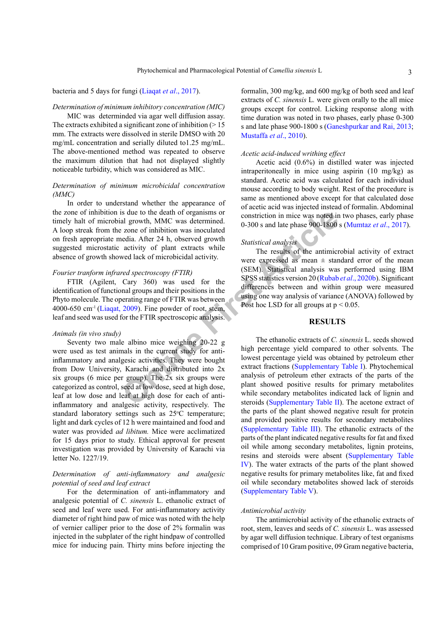### bacteria and 5 days for fungi (Liaqat *et al*., 2017).

### *Determination of minimum inhibitory concentration (MIC)*

MIC was determinded via agar well diffusion assay. The extracts exhibited a significant zone of inhibition  $(>15$ mm. The extracts were dissolved in sterile DMSO with 20 mg/mL concentration and serially diluted to1.25 mg/mL. The above-mentioned method was repeated to observe the maximum dilution that had not displayed slightly noticeable turbidity, which was considered as MIC.

## *Determination of minimum microbicidal concentration (MMC)*

In order to understand whether the appearance of the zone of inhibition is due to the death of organisms or timely halt of microbial growth, MMC was determined. A loop streak from the zone of inhibition was inoculated on fresh appropriate media. After 24 h, observed growth suggested microstatic activity of plant extracts while absence of growth showed lack of microbicidal activity.

# *Fourier tranform infrared spectroscopy (FTIR)*

FTIR (Agilent, Cary 360) was used for the identification of functional groups and their positions in the Phyto molecule. The operating range of FTIR was between 4000-650 cm<sup>-1</sup> (Liaqat, 2009). Fine powder of root, stem, leaf and seed was used for the FTIR spectroscopic analysis.

### *Animals (in vivo study)*

Is due to the death of organisms or<br>
2 consect and growth, MMC was determined.<br>
2 cone of inhibition was inoculated<br>
and activity of plant extracts while<br>
activity of plant extracts while<br>
2 cone of incrobicidal activity.<br> Seventy two male albino mice weighing 20-22 g were used as test animals in the current study for antiinflammatory and analgesic activities. They were bought from Dow University, Karachi and distributed into 2x six groups (6 mice per group). The 2x six groups were categorized as control, seed at low dose, seed at high dose, leaf at low dose and leaf at high dose for each of antiinflammatory and analgesic activity, respectively. The standard laboratory settings such as 25°C temperature; light and dark cycles of 12 h were maintained and food and water was provided *ad libitum.* Mice were acclimatized for 15 days prior to study. Ethical approval for present investigation was provided by University of Karachi via letter No. 1227/19.

# *Determination of anti-inflammatory and analgesic potential of seed and leaf extract*

For the determination of anti-inflammatory and analgesic potential of *C. sinensis* L. ethanolic extract of seed and leaf were used. For anti-inflammatory activity diameter of right hind paw of mice was noted with the help of vernier calliper prior to the dose of 2% formalin was injected in the subplater of the right hindpaw of controlled mice for inducing pain. Thirty mins before injecting the

formalin, 300 mg/kg, and 600 mg/kg of both seed and leaf extracts of *C. sinensis* L*.* were given orally to the all mice groups except for control. Licking response along with time duration was noted in two phases, early phase 0-300 s and late phase 900-1800 s (Ganeshpurkar and Rai, 2013; Mustaffa *et al*., 2010).

### *Acetic acid-induced writhing effect*

Acetic acid (0.6%) in distilled water was injected intraperitoneally in mice using aspirin (10 mg/kg) as standard. Acetic acid was calculated for each individual mouse according to body weight. Rest of the procedure is same as mentioned above except for that calculated dose of acetic acid was injected instead of formalin. Abdominal constriction in mice was noted in two phases, early phase 0-300 s and late phase 900-1800 s (Mumtaz *et al*., 2017).

# *Statistical analysis*

The results of the antimicrobial activity of extract were expressed as mean  $\pm$  standard error of the mean (SEM). Statistical analysis was performed using IBM SPSS statistics version 20 (Rubab *et al*., 2020b). Significant differences between and within group were measured using one way analysis of variance (ANOVA) followed by Post hoc LSD for all groups at  $p < 0.05$ .

# **RESULTS**

The ethanolic extracts of *C. sinensis* L. seeds showed high percentage yield compared to other solvents. The lowest percentage yield was obtained by petroleum ether extract fractions (Supplementary Table I). Phytochemical analysis of petroleum ether extracts of the parts of the plant showed positive results for primary metabolites while secondary metabolites indicated lack of lignin and steroids (Supplementary Table II). The acetone extract of the parts of the plant showed negative result for protein and provided positive results for secondary metabolites (Supplementary Table III). The ethanolic extracts of the parts of the plant indicated negative results for fat and fixed oil while among secondary metabolites, lignin proteins, resins and steroids were absent (Supplementary Table IV). The water extracts of the parts of the plant showed negative results for primary metabolites like, fat and fixed oil while secondary metabolites showed lack of steroids (Supplementary Table V).

### *Antimicrobial activity*

The antimicrobial activity of the ethanolic extracts of root, stem, leaves and seeds of *C. sinensis* L. was assessed by agar well diffusion technique. Library of test organisms comprised of 10 Gram positive, 09 Gram negative bacteria,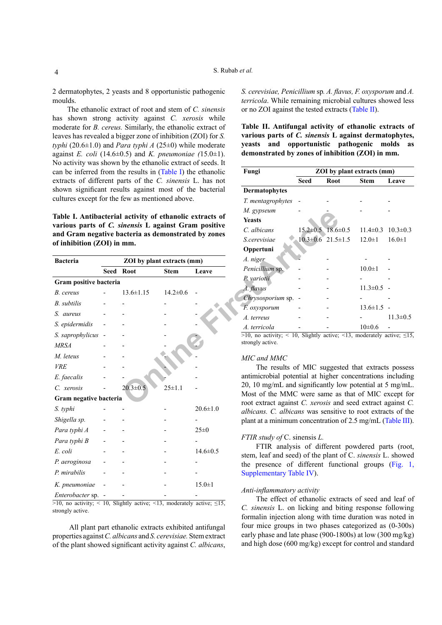2 dermatophytes, 2 yeasts and 8 opportunistic pathogenic moulds.

The ethanolic extract of root and stem of *C. sinensis* has shown strong activity against *C. xerosis* while moderate for *B. cereus.* Similarly, the ethanolic extract of leaves has revealed a bigger zone of inhibition (ZOI) for *S. typhi* (20.6±1.0) and *Para typhi A* (25±0) while moderate against *E. coli* (14.6 $\pm$ 0.5) and *K. pneumoniae* (15.0 $\pm$ 1). No activity was shown by the ethanolic extract of seeds. It can be inferred from the results in (Table I) the ethanolic extracts of different parts of the *C. sinensis* L. has not shown significant results against most of the bacterial cultures except for the few as mentioned above.

| Table I. Antibacterial activity of ethanolic extracts of                                   |                            |                |                | <i>M. gypseum</i>                                                           |                     |  |
|--------------------------------------------------------------------------------------------|----------------------------|----------------|----------------|-----------------------------------------------------------------------------|---------------------|--|
| various parts of C. sinensis L against Gram positive                                       |                            |                |                | <b>Yeasts</b>                                                               |                     |  |
| and Gram negative bacteria as demonstrated by zones                                        |                            |                |                | C. albicans                                                                 | $15.2 \pm 0.5$ 18.6 |  |
| of inhibition (ZOI) in mm.                                                                 |                            |                |                | S.cerevisiae                                                                | $10.3 \pm 0.6$ 21.5 |  |
|                                                                                            |                            |                |                | Oppertuni                                                                   |                     |  |
| <b>Bacteria</b>                                                                            | ZOI by plant extracts (mm) |                |                | A. niger                                                                    |                     |  |
|                                                                                            | Seed Root                  | <b>Stem</b>    | Leave          | Penicillium sp.                                                             |                     |  |
| Gram positive bacteria                                                                     |                            |                |                | P. variotii                                                                 |                     |  |
| B. cereus                                                                                  | $13.6 \pm 1.15$            | $14.2 \pm 0.6$ |                | A. flavus                                                                   |                     |  |
| B. subtilis                                                                                |                            |                |                | Chrysosporium sp. -                                                         |                     |  |
|                                                                                            |                            |                |                | F. oxysporum                                                                |                     |  |
| S. aureus                                                                                  |                            |                |                | A. terreus                                                                  |                     |  |
| S. epidermidis                                                                             |                            |                |                | A. terricola                                                                |                     |  |
| S. saprophylicus -                                                                         |                            |                |                | $>10$ , no activity; < 10, Slightly active;                                 |                     |  |
| <b>MRSA</b>                                                                                |                            |                |                | strongly active.                                                            |                     |  |
| M. leteus                                                                                  |                            |                |                | MIC and MMC                                                                 |                     |  |
| <b>VRE</b>                                                                                 |                            |                |                | The results of MIC sugges                                                   |                     |  |
| E. faecalis                                                                                |                            |                |                | antimicrobial potential at higher                                           |                     |  |
| C. xerosis                                                                                 | $20.3 \pm 0.5$             | $25 \pm 1.1$   |                | 20, 10 mg/mL and significantly lo                                           |                     |  |
| Gram negative bacteria                                                                     |                            |                |                | Most of the MMC were same as                                                |                     |  |
|                                                                                            |                            |                | $20.6 \pm 1.0$ | root extract against C. xerosis an                                          |                     |  |
| S. typhi                                                                                   |                            |                |                | albicans. C. albicans was sensiti                                           |                     |  |
| Shigella sp.                                                                               |                            |                |                | plant at a minimum concentration                                            |                     |  |
| Para typhi A                                                                               |                            |                | 25 ± 0         |                                                                             |                     |  |
| Para typhi B                                                                               |                            |                |                | FTIR study of C. sinensis L.<br>FTIR analysis of different                  |                     |  |
| E. coli                                                                                    |                            |                | $14.6 \pm 0.5$ | stem, leaf and seed) of the plant                                           |                     |  |
| P. aeroginosa                                                                              |                            |                |                | the presence of different fund                                              |                     |  |
| P. mirabilis                                                                               |                            |                |                | Supplementary Table IV).                                                    |                     |  |
| K. pneumoniae                                                                              |                            |                | $15.0 \pm 1$   |                                                                             |                     |  |
| Enterobacter sp. -                                                                         |                            |                |                | Anti-inflammatory activity<br>The effect of ethanolic extr                  |                     |  |
| $\overline{>10}$ , no activity; < 10, Slightly active; <13, moderately active; $\leq 15$ , |                            |                |                | the company of the property of the company of the company of the company of |                     |  |

strongly active.

 All plant part ethanolic extracts exhibited antifungal properties against *C. albicans* and *S. cerevisiae.* Stem extract of the plant showed significant activity against *C. albicans*,

*S. cerevisiae, Penicillium* sp*. A. flavus, F. oxysporum* and *A. terricola*. While remaining microbial cultures showed less or no ZOI against the tested extracts (Table II).

**Table II. Antifungal activity of ethanolic extracts of various parts of** *C. sinensis* **L against dermatophytes, yeasts and opportunistic pathogenic molds as demonstrated by zones of inhibition (ZOI) in mm.**

| Fungi                | <b>ZOI</b> by plant extracts (mm) |                               |                |                |  |  |  |
|----------------------|-----------------------------------|-------------------------------|----------------|----------------|--|--|--|
|                      | Seed                              | <b>Root</b>                   | Stem           | Leave          |  |  |  |
| <b>Dermatophytes</b> |                                   |                               |                |                |  |  |  |
| T. mentagrophytes    |                                   |                               |                |                |  |  |  |
| M. gypseum           |                                   |                               |                |                |  |  |  |
| <b>Yeasts</b>        |                                   |                               |                |                |  |  |  |
| C. albicans          |                                   | $15.2 \pm 0.5$ $18.6 \pm 0.5$ | $11.4 \pm 0.3$ | $10.3 \pm 0.3$ |  |  |  |
| <i>S</i> cerevisiae  |                                   | $10.3 \pm 0.6$ 21.5 $\pm 1.5$ | $12.0 \pm 1$   | $16.0 \pm 1$   |  |  |  |
| Oppertuni            |                                   |                               |                |                |  |  |  |
| A. niger             |                                   |                               |                |                |  |  |  |
| Penicillium sp.      |                                   |                               | $10.0 \pm 1$   |                |  |  |  |
| P. variotii          |                                   |                               |                |                |  |  |  |
| A. flavus            |                                   |                               | $11.3 \pm 0.5$ |                |  |  |  |
| Chrysosporium sp.    |                                   |                               |                |                |  |  |  |
| F. oxysporum         |                                   |                               | $13.6 \pm 1.5$ |                |  |  |  |
| A. terreus           |                                   |                               |                | $11.3 \pm 0.5$ |  |  |  |
| A. terricola         |                                   |                               | $10\pm 0.6$    |                |  |  |  |

 $>10$ , no activity; < 10, Slightly active; <13, moderately active;  $\leq 15$ , strongly active.

#### *MIC and MMC*

The results of MIC suggested that extracts possess antimicrobial potential at higher concentrations including 20, 10 mg/mL and significantly low potential at 5 mg/mL. Most of the MMC were same as that of MIC except for root extract against *C. xerosis* and seed extract against *C. albicans. C. albicans* was sensitive to root extracts of the plant at a minimum concentration of 2.5 mg/mL (Table III).

### *FTIR study of* C. sinensis *L.*

FTIR analysis of different powdered parts (root, stem, leaf and seed) of the plant of C. *sinensis* L. showed the presence of different functional groups (Fig. 1, Supplementary Table IV).

### *Anti-inflammatory activity*

The effect of ethanolic extracts of seed and leaf of *C. sinensis* L. on licking and biting response following formalin injection along with time duration was noted in four mice groups in two phases categorized as (0-300s) early phase and late phase (900-1800s) at low (300 mg/kg) and high dose (600 mg/kg) except for control and standard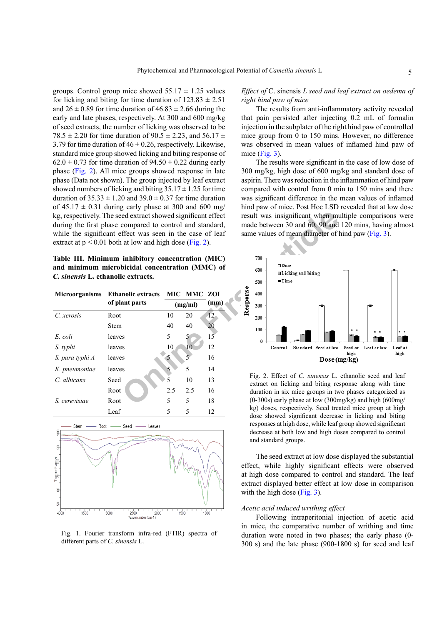groups. Control group mice showed  $55.17 \pm 1.25$  values for licking and biting for time duration of  $123.83 \pm 2.51$ and  $26 \pm 0.89$  for time duration of  $46.83 \pm 2.66$  during the early and late phases, respectively. At 300 and 600 mg/kg of seed extracts, the number of licking was observed to be 78.5  $\pm$  2.20 for time duration of 90.5  $\pm$  2.23, and 56.17  $\pm$ 3.79 for time duration of  $46 \pm 0.26$ , respectively. Likewise, standard mice group showed licking and biting response of  $62.0 \pm 0.73$  for time duration of  $94.50 \pm 0.22$  during early phase (Fig. 2). All mice groups showed response in late phase (Data not shown). The group injected by leaf extract showed numbers of licking and biting  $35.17 \pm 1.25$  for time duration of  $35.33 \pm 1.20$  and  $39.0 \pm 0.37$  for time duration of  $45.17 \pm 0.31$  during early phase at 300 and 600 mg/ kg, respectively. The seed extract showed significant effect during the first phase compared to control and standard, while the significant effect was seen in the case of leaf extract at  $p < 0.01$  both at low and high dose (Fig. 2).

**Table III. Minimum inhibitory concentration (MIC) and minimum microbicidal concentration (MMC) of**  *C. sinensis* **L. ethanolic extracts.**

| <b>Microorganisms</b>          | <b>Ethanolic extracts</b> |     | MIC MMC ZOI |      |  |  |  |
|--------------------------------|---------------------------|-----|-------------|------|--|--|--|
|                                | of plant parts            |     | (mg/ml)     | (mm) |  |  |  |
| C. xerosis                     | Root                      | 10  | 20          | 12   |  |  |  |
|                                | Stem                      | 40  | 40          | 20   |  |  |  |
| E. coli                        | leaves                    | 5   | 5           | 15   |  |  |  |
| S. typhi                       | leaves                    | 10  | 10          | 12   |  |  |  |
| S. para typhi A                | leaves                    | 5   | 5           | 16   |  |  |  |
| K. pneumoniae                  | leaves                    | 5   | 5           | 14   |  |  |  |
| C. albicans                    | Seed                      | 5   | 10          | 13   |  |  |  |
|                                | Root                      | 2.5 | 2.5         | 16   |  |  |  |
| S. cerevisiae                  | Root                      | 5   | 5           | 18   |  |  |  |
|                                | Leaf                      | 5   | 5           | 12   |  |  |  |
| - Root - Seed - Leaves<br>Stem |                           |     |             |      |  |  |  |
| 8<br>8                         |                           |     |             |      |  |  |  |
|                                |                           |     |             |      |  |  |  |



Fig. 1. Fourier transform infra-red (FTIR) spectra of different parts of *C. sinensis* L.

# *Effect of* C. sinensis *L seed and leaf extract on oedema of right hind paw of mice*

The results from anti-inflammatory activity revealed that pain persisted after injecting 0.2 mL of formalin injection in the subplater of the right hind paw of controlled mice group from 0 to 150 mins. However, no difference was observed in mean values of inflamed hind paw of mice (Fig. 3).

The results were significant in the case of low dose of 300 mg/kg, high dose of 600 mg/kg and standard dose of aspirin. There was reduction in the inflammation of hind paw compared with control from 0 min to 150 mins and there was significant difference in the mean values of inflamed hind paw of mice. Post Hoc LSD revealed that at low dose result was insignificant when multiple comparisons were made between 30 and 60, 90 and 120 mins, having almost same values of mean diameter of hind paw (Fig. 3).



Fig. 2. Effect of *C. sinensis* L. ethanolic seed and leaf extract on licking and biting response along with time duration in six mice groups in two phases categorized as  $(0-300s)$  early phase at low  $(300mg/kg)$  and high  $(600mg/m)$ kg) doses, respectively. Seed treated mice group at high dose showed significant decrease in licking and biting responses at high dose, while leaf group showed significant decrease at both low and high doses compared to control and standard groups.

The seed extract at low dose displayed the substantial effect, while highly significant effects were observed at high dose compared to control and standard. The leaf extract displayed better effect at low dose in comparison with the high dose (Fig. 3).

### *Acetic acid induced writhing effect*

Following intraperitonial injection of acetic acid in mice, the comparative number of writhing and time duration were noted in two phases; the early phase (0- 300 s) and the late phase (900-1800 s) for seed and leaf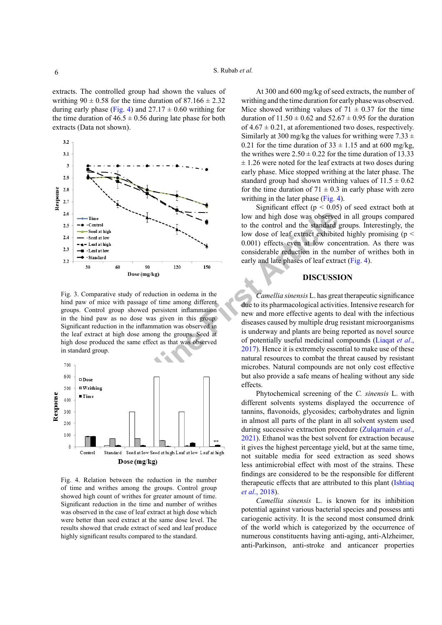extracts. The controlled group had shown the values of writhing  $90 \pm 0.58$  for the time duration of  $87.166 \pm 2.32$ during early phase (Fig. 4) and  $27.17 \pm 0.60$  writhing for the time duration of  $46.5 \pm 0.56$  during late phase for both extracts (Data not shown).



Fig. 3. Comparative study of reduction in oedema in the hind paw of mice with passage of time among different groups. Control group showed persistent inflammation in the hind paw as no dose was given in this group. Significant reduction in the inflammation was observed in the leaf extract at high dose among the groups. Seed at high dose produced the same effect as that was observed in standard group.



Fig. 4. Relation between the reduction in the number of time and writhes among the groups. Control group showed high count of writhes for greater amount of time. Significant reduction in the time and number of writhes was observed in the case of leaf extract at high dose which were better than seed extract at the same dose level. The results showed that crude extract of seed and leaf produce highly significant results compared to the standard.

At 300 and 600 mg/kg of seed extracts, the number of writhing and the time duration for early phase was observed. Mice showed writhing values of  $71 \pm 0.37$  for the time duration of  $11.50 \pm 0.62$  and  $52.67 \pm 0.95$  for the duration of  $4.67 \pm 0.21$ , at aforementioned two doses, respectively. Similarly at 300 mg/kg the values for writhing were  $7.33 \pm$ 0.21 for the time duration of  $33 \pm 1.15$  and at 600 mg/kg, the writhes were  $2.50 \pm 0.22$  for the time duration of 13.33  $\pm$  1.26 were noted for the leaf extracts at two doses during early phase. Mice stopped writhing at the later phase. The standard group had shown writhing values of  $11.5 \pm 0.62$ for the time duration of  $71 \pm 0.3$  in early phase with zero writhing in the later phase (Fig. 4).

Significant effect ( $p < 0.05$ ) of seed extract both at low and high dose was observed in all groups compared to the control and the standard groups. Interestingly, the low dose of leaf extract exhibited highly promising (p < 0.001) effects even at low concentration. As there was considerable reduction in the number of writhes both in early and late phases of leaf extract (Fig. 4).

## **DISCUSSION**

**Online First Article** *Camellia sinensis* L. has great therapeutic significance due to its pharmacological activities. Intensive research for new and more effective agents to deal with the infectious diseases caused by multiple drug resistant microorganisms is underway and plants are being reported as novel source of potentially useful medicinal compounds (Liaqat *et al*., 2017). Hence it is extremely essential to make use of these natural resources to combat the threat caused by resistant microbes. Natural compounds are not only cost effective but also provide a safe means of healing without any side effects.

Phytochemical screening of the *C. sinensis* L. with different solvents systems displayed the occurrence of tannins, flavonoids, glycosides; carbohydrates and lignin in almost all parts of the plant in all solvent system used during successive extraction procedure (Zulqarnain *et al*., 2021). Ethanol was the best solvent for extraction because it gives the highest percentage yield, but at the same time, not suitable media for seed extraction as seed shows less antimicrobial effect with most of the strains. These findings are considered to be the responsible for different therapeutic effects that are attributed to this plant (Ishtiaq *et al*., 2018).

*Camellia sinensis* L. is known for its inhibition potential against various bacterial species and possess anti cariogenic activity*.* It is the second most consumed drink of the world which is categorized by the occurrence of numerous constituents having anti-aging, anti-Alzheimer, anti-Parkinson, anti-stroke and anticancer properties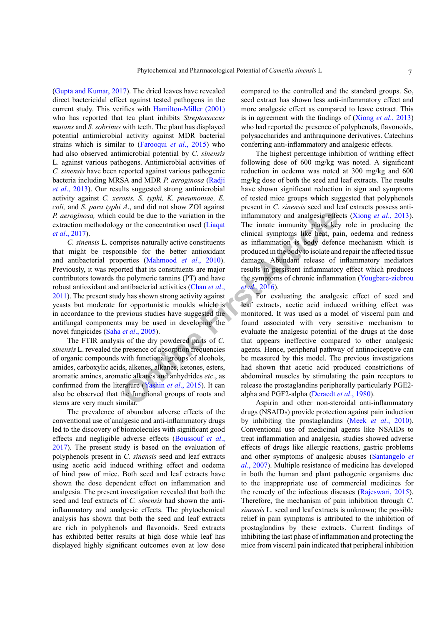(Gupta and Kumar, 2017). The dried leaves have revealed direct bactericidal effect against tested pathogens in the current study. This verifies with Hamilton-Miller (2001) who has reported that tea plant inhibits *Streptococcus mutans* and *S. sobrinus* with teeth. The plant has displayed potential antimicrobial activity against MDR bacterial strains which is similar to (Farooqui *et al*., 2015) who had also observed antimicrobial potential by *C. sinensis* L. against various pathogens. Antimicrobial activities of *C. sinensis* have been reported against various pathogenic bacteria including MRSA and MDR *P. aeroginosa* (Radji *et al*., 2013). Our results suggested strong antimicrobial activity against *C. xerosis, S. typhi, K. pneumoniae, E. coli,* and *S. para typhi A*., and did not show ZOI against *P. aeroginosa,* which could be due to the variation in the extraction methodology or the concentration used (Liaqat *et al*., 2017).

*C. sinensis* L*.* comprises naturally active constituents that might be responsible for the better antioxidant and antibacterial properties (Mahmood *et al*., 2010). Previously, it was reported that its constituents are major contributors towards the polymeric tannins (PT) and have robust antioxidant and antibacterial activities (Chan *et al*., 2011). The present study has shown strong activity against yeasts but moderate for opportunistic moulds which is in accordance to the previous studies have suggested the antifungal components may be used in developing the novel fungicides (Saha *et al*., 2005).

The FTIR analysis of the dry powdered parts of *C. sinensis* L. revealed the presence of absorption frequencies of organic compounds with functional groups of alcohols, amides, carboxylic acids, alkenes, alkanes, ketones, esters, aromatic amines, aromatic alkanes and anhydrides *etc*., as confirmed from the literature (Yashin *et al*., 2015). It can also be observed that the functional groups of roots and stems are very much similar.

The prevalence of abundant adverse effects of the conventional use of analgesic and anti-inflammatory drugs led to the discovery of biomolecules with significant good effects and negligible adverse effects (Boussouf *et al*., 2017). The present study is based on the evaluation of polyphenols present in *C. sinensis* seed and leaf extracts using acetic acid induced writhing effect and oedema of hind paw of mice. Both seed and leaf extracts have shown the dose dependent effect on inflammation and analgesia. The present investigation revealed that both the seed and leaf extracts of *C. sinensis* had shown the antiinflammatory and analgesic effects. The phytochemical analysis has shown that both the seed and leaf extracts are rich in polyphenols and flavonoids. Seed extracts has exhibited better results at high dose while leaf has displayed highly significant outcomes even at low dose compared to the controlled and the standard groups. So, seed extract has shown less anti-inflammatory effect and more analgesic effect as compared to leave extract. This is in agreement with the findings of (Xiong *et al*., 2013) who had reported the presence of polyphenols, flavonoids, polysaccharides and anthraquinone derivatives. Catechins conferring anti-inflammatory and analgesic effects.

The highest percentage inhibition of writhing effect following dose of 600 mg/kg was noted. A significant reduction in oedema was noted at 300 mg/kg and 600 mg/kg dose of both the seed and leaf extracts. The results have shown significant reduction in sign and symptoms of tested mice groups which suggested that polyphenols present in *C. sinensis* seed and leaf extracts possess antiinflammatory and analgesic effects (Xiong *et al*., 2013). The innate immunity plays key role in producing the clinical symptoms like heat, pain, oedema and redness as inflammation is body defence mechanism which is produced in the body to isolate and repair the affected tissue damage. Abundant release of inflammatory mediators results in persistent inflammatory effect which produces the symptoms of chronic inflammation (Yougbare-ziebrou *et al*., 2016).

**Could be due to the variation in the**<br>
inflammatory and analgesic effect<br>
prises naturally active constituents<br>
as inflammation be body defence<br>
prises naturally active constituents<br>
as inflammation is body defence<br>
stri For evaluating the analgesic effect of seed and leaf extracts, acetic acid induced writhing effect was monitored. It was used as a model of visceral pain and found associated with very sensitive mechanism to evaluate the analgesic potential of the drugs at the dose that appears ineffective compared to other analgesic agents. Hence, peripheral pathway of antinociceptive can be measured by this model. The previous investigations had shown that acetic acid produced constrictions of abdominal muscles by stimulating the pain receptors to release the prostaglandins peripherally particularly PGE2 alpha and PGF2-alpha (Deraedt *et al*., 1980).

Aspirin and other non-steroidal anti-inflammatory drugs (NSAIDs) provide protection against pain induction by inhibiting the prostaglandins (Meek *et al*., 2010). Conventional use of medicinal agents like NSAIDs to treat inflammation and analgesia, studies showed adverse effects of drugs like allergic reactions, gastric problems and other symptoms of analgesic abuses (Santangelo *et al*., 2007). Multiple resistance of medicine has developed in both the human and plant pathogenic organisms due to the inappropriate use of commercial medicines for the remedy of the infectious diseases (Rajeswari, 2015). Therefore, the mechanism of pain inhibition through *C. sinensis* L. seed and leaf extracts is unknown; the possible relief in pain symptoms is attributed to the inhibition of prostaglandins by these extracts. Current findings of inhibiting the last phase of inflammation and protecting the mice from visceral pain indicated that peripheral inhibition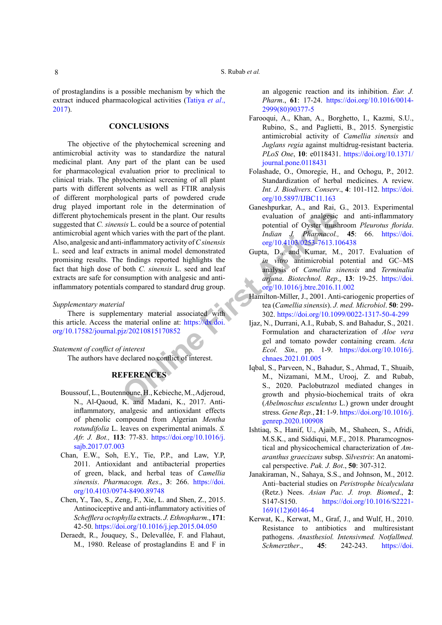of prostaglandins is a possible mechanism by which the extract induced pharmacological activities (Tatiya *et al*., 2017).

# **CONCLUSIONS**

10. Inflammatory activity of Csinensis<br> **EXERUATEL EXERENCES**<br>
16. And Mannatory activity of Csinensis<br> [Fi](https://dx.doi.org/10.17582/journal.pjz/20210815170852)ndmenton and model demonstrated on the paint. The pair of the plant.<br>
1. Inflammatory activity of Csinensis<br>
1. The The objective of the phytochemical screening and antimicrobial activity was to standardize the natural medicinal plant. Any part of the plant can be used for pharmacological evaluation prior to preclinical to clinical trials. The phytochemical screening of all plant parts with different solvents as well as FTIR analysis of different morphological parts of powdered crude drug played important role in the determination of different phytochemicals present in the plant. Our results suggested that *C. sinensis* L. could be a source of potential antimicrobial agent which varies with the part of the plant. Also, analgesic and anti-inflammatory activity of *C sinensis* L. seed and leaf extracts in animal model demonstrated promising results. The findings reported highlights the fact that high dose of both *C. sinensis* L. seed and leaf extracts are safe for consumption with analgesic and antiinflammatory potentials compared to standard drug group.

# *Supplementary material*

There is supplementary material associated with this article. Access the material online at: https://dx.doi. [org/10.17582/journal.pjz/20210815170852](https://dx.doi.org/10.17582/journal.pjz/20210815170852)

*Statement of conflict of interest*

The authors have declared no conflict of interest.

# **REFERENCES**

- Boussouf, L., Boutennoune, H., Kebieche, M., Adjeroud, N., Al-Qaoud, K. and Madani, K., 2017. Antiinflammatory, analgesic and antioxidant effects of phenolic compound from Algerian *Mentha rotundifolia* L. leaves on experimental animals. *S. Afr. J. Bot.,* **113**: 77-83. [https://doi.org/10.1016/j.](https://doi.org/10.1016/j.sajb.2017.07.003) [sajb.2017.07.003](https://doi.org/10.1016/j.sajb.2017.07.003)
- Chan, E.W., Soh, E.Y., Tie, P.P., and Law, Y.P, 2011. Antioxidant and antibacterial properties of green, black, and herbal teas of *Camellia sinensis*. *Pharmacogn. Res*., **3**: 266. [https://doi.](https://doi.org/10.4103/0974-8490.89748) [org/10.4103/0974-8490.89748](https://doi.org/10.4103/0974-8490.89748)
- Chen, Y., Tao, S., Zeng, F., Xie, L. and Shen, Z., 2015. Antinociceptive and anti-inflammatory activities of *Schefflera octophylla* extracts. *J. Ethnopharm*., **171**: 42-50. <https://doi.org/10.1016/j.jep.2015.04.050>
- Deraedt, R., Jouquey, S., Delevallée, F. and Flahaut, M., 1980. Release of prostaglandins E and F in

an algogenic reaction and its inhibition. *Eur. J. Pharm*., **61**: 17-24. [https://doi.org/10.1016/0014-](https://doi.org/10.1016/0014-2999(80)90377-5) [2999\(80\)90377-5](https://doi.org/10.1016/0014-2999(80)90377-5)

- Farooqui, A., Khan, A., Borghetto, I., Kazmi, S.U., Rubino, S., and Paglietti, B., 2015. Synergistic antimicrobial activity of *Camellia sinensis* and *Juglans regia* against multidrug-resistant bacteria. *PLoS One*, **10**: e0118431. [https://doi.org/10.1371/](https://doi.org/10.1371/journal.pone.0118431) [journal.pone.0118431](https://doi.org/10.1371/journal.pone.0118431)
- Folashade, O., Omoregie, H., and Ochogu, P., 2012. Standardization of herbal medicines. A review. *Int. J. Biodivers. Conserv*., **4**: 101-112. [https://doi.](https://doi.org/10.5897/IJBC11.163) [org/10.5897/IJBC11.163](https://doi.org/10.5897/IJBC11.163)
- Ganeshpurkar, A., and Rai, G., 2013. Experimental evaluation of analgesic and anti-inflammatory potential of Oyster mushroom *Pleurotus florida*. *Indian J. Pharmacol.,* **45**: 66. [https://doi.](https://doi.org/10.4103/0253-7613.106438) org/10.4103/0253-7613.106438
- Gupta, D., and Kumar, M., 2017. Evaluation of *in vitro* antimicrobial potential and GC–MS analysis of *Camellia sinensis* and *Terminalia arjuna*. *Biotechnol. Rep*., **13**: 19-25. [https://doi.](https://doi.org/10.1016/j.btre.2016.11.002) org/10.1016/j.btre.2016.11.002
- Hamilton-Miller, J., 2001. Anti-cariogenic properties of tea (*Camellia sinensis*). *J. med. Microbiol*. **50**: 299- 302.<https://doi.org/10.1099/0022-1317-50-4-299>
- Ijaz, N., Durrani, A.I., Rubab, S. and Bahadur, S., 2021. Formulation and characterization of *Aloe vera* gel and tomato powder containing cream. *Acta Ecol. Sin.,* pp. 1-9. [https://doi.org/10.1016/j.](https://doi.org/10.1016/j.chnaes.2021.01.005) chnaes.2021.01.005
- Iqbal, S., Parveen, N., Bahadur, S., Ahmad, T., Shuaib, M., Nizamani, M.M., Urooj, Z. and Rubab, S., 2020. Paclobutrazol mediated changes in growth and physio-biochemical traits of okra (*Abelmoschus esculentus* L.) grown under drought stress. *Gene Rep.*, **21**: 1-9. [https://doi.org/10.1016/j.](https://doi.org/10.1016/j.genrep.2020.100908) [genrep.2020.100908](https://doi.org/10.1016/j.genrep.2020.100908)
- Ishtiaq, S., Hanif, U., Ajaib, M., Shaheen, S., Afridi, M.S.K., and Siddiqui, M.F., 2018. Pharamcognostical and physicochemical characterization of *Amaranthus graecizans* subsp. *Silvestris*: An anatomical perspective. *Pak. J. Bot*., **50**: 307-312.
- Janakiraman, N., Sahaya, S.S., and Johnson, M., 2012. Anti–bacterial studies on *Peristrophe bicalyculata* (Retz.) Nees. *Asian Pac. J. trop. Biomed*., **2**: S147-S150. [https://doi.org/10.1016/S2221-](https://doi.org/10.1016/S2221-1691(12)60146-4) [1691\(12\)60146-4](https://doi.org/10.1016/S2221-1691(12)60146-4)
- Kerwat, K., Kerwat, M., Graf, J., and Wulf, H., 2010. Resistance to antibiotics and multiresistant pathogens. *Anasthesiol. Intensivmed. Notfallmed. Schmerzther*., **45**: 242-243. [https://doi.](https://doi.org/10.1055/s-0030-1253091)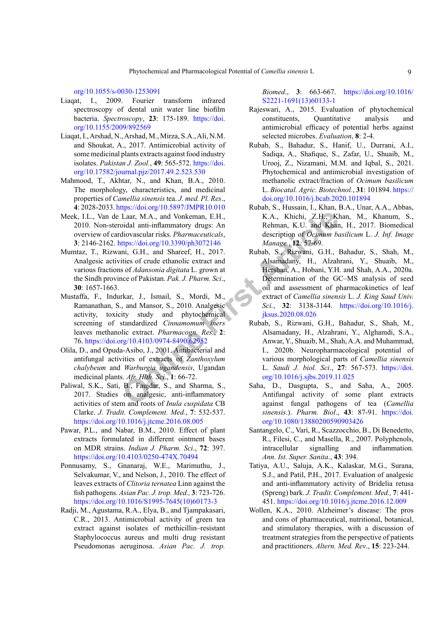[org/10.1055/s-0030-1253091](https://doi.org/10.1055/s-0030-1253091)

- Liaqat, I., 2009. Fourier transform infrared spectroscopy of dental unit water line biofilm bacteria. *Spectroscopy*, **23**: 175-189. [https://doi.](https://doi.org/10.1155/2009/892569) [org/10.1155/2009/892569](https://doi.org/10.1155/2009/892569)
- Liaqat, I., Arshad, N., Arshad, M., Mirza, S.A., Ali, N.M. and Shoukat, A., 2017. Antimicrobial activity of some medicinal plants extracts against food industry isolates. *Pakistan J. Zool.*, **49**: 565-572. [https://doi.](https://doi.org/10.17582/journal.pjz/2017.49.2.523.530) [org/10.17582/journal.pjz/2017.49.2.523.530](https://doi.org/10.17582/journal.pjz/2017.49.2.523.530)
- Mahmood, T., Akhtar, N., and Khan, B.A., 2010. The morphology, characteristics, and medicinal properties of *Camellia sinensis* tea. *J. med. Pl. Res*., **4**: 2028-2033.<https://doi.org/10.5897/JMPR10.010>
- Meek, I.L., Van de Laar, M.A., and Vonkeman, E.H., 2010. Non-steroidal anti-inflammatory drugs: An overview of cardiovascular risks. *Pharmaceuticals*, **3**: 2146-2162. https://doi.org/10.3390/ph3072146
- Mumtaz, T., Rizwani, G.H., and Shareef, H., 2017. Analgesic activities of crude ethanolic extract and various fractions of *Adansonia digitata* L. grown at the Sindh province of Pakistan. *Pak. J. Pharm. Sci*., **30**: 1657-1663.
- Mustaffa, F., Indurkar, J., Ismail, S., Mordi, M., Ramanathan, S., and Mansor, S., 2010. Analgesic activity, toxicity study and phytochemical screening of standardized *Cinnamomum iners* leaves methanolic extract. *Pharmacogn. Res*., **2**: 76. <https://doi.org/10.4103/0974-8490.62952>
- Olila, D., and Opuda-Asibo, J., 2001. Antibacterial and antifungal activities of extracts of *Zanthoxylum chalybeum* and *Warburgia ugandensis*, Ugandan medicinal plants. *Afr. Hlth. Sci*., **1**: 66-72.
- Paliwal, S.K., Sati, B., Faujdar, S., and Sharma, S., 2017. Studies on analgesic, anti-inflammatory activities of stem and roots of *Inula cuspidata* CB Clarke. *J. Tradit. Complement. Med.*, **7**: 532-537. <https://doi.org/10.1016/j.jtcme.2016.08.005>
- Pawar, P.L., and Nabar, B.M., 2010. Effect of plant extracts formulated in different ointment bases on MDR strains. *Indian J. Pharm. Sci*., **72**: 397. <https://doi.org/10.4103/0250-474X.70494>
- Ponnusamy, S., Gnanaraj, W.E., Marimuthu, J., Selvakumar, V., and Nelson, J., 2010. The effect of leaves extracts of *Clitoria ternatea* Linn against the fish pathogens. *Asian Pac. J. trop. Med.,* **3**: 723-726. [https://doi.org/10.1016/S1995-7645\(10\)60173-3](https://doi.org/10.1016/S1995-7645(10)60173-3)
- Radji, M., Agustama, R.A., Elya, B., and Tjampakasari, C.R., 2013. Antimicrobial activity of green tea extract against isolates of methicillin–resistant Staphylococcus aureus and multi drug resistant Pseudomonas aeruginosa. *Asian Pac. J. trop.*

*Biomed*., **3**: 663-667. [https://doi.org/10.1016/](https://doi.org/10.1016/S2221-1691(13)60133-1) [S2221-1691\(13\)60133-1](https://doi.org/10.1016/S2221-1691(13)60133-1)

- Rajeswari, A., 2015. Evaluation of phytochemical constituents, Quantitative analysis and antimicrobial efficacy of potential herbs against selected microbes. *Evaluation*, **8**: 2-4.
- Rubab, S., Bahadur, S., Hanif, U., Durrani, A.I., Sadiqa, A., Shafique, S., Zafar, U., Shuaib, M., Urooj, Z., Nizamani, M.M. and Iqbal, S., 2021. Phytochemical and antimicrobial investigation of methanolic extract/fraction of *Ocimum basilicum* L. *Biocatal. Agric. Biotechnol.*, **31**: 101894. [https://](https://doi.org/10.1016/j.bcab.2020.101894) [doi.org/10.1016/j.bcab.2020.101894](https://doi.org/10.1016/j.bcab.2020.101894)
- Rubab, S., Hussain, I., Khan, B.A., Unar, A.A., Abbas, K.A., Khichi, Z.H., Khan, M., Khanum, S., Rehman, K.U. and Khan, H., 2017. Biomedical description of *Ocimum basilicum* L. *J. Inf. Image Manage.*, **12***:* 57-69.
- Laar, M.A., and Vonkeman, E.H.,<br>
Coidal anti-inflammatory drugs: An<br>
idid anti-inflammatory drugs: An<br>
interiories: Are and Subsection of *Ocimum be*<br>
the strip GH., and Shares (H., 2017.<br>
Inities of crude ethanolic extrac Rubab, S., Rizwani, G.H., Bahadur, S., Shah, M., Alsamadany, H., Alzahrani, Y., Shuaib, M., Hershan, A., Hobani, Y.H. and Shah, A.A., 2020a. Determination of the GC–MS analysis of seed oil and assessment of pharmacokinetics of leaf extract of *Camellia sinensis* L. *J. King Saud Univ. Sci.*, **32**: 3138-3144. [https://doi.org/10.1016/j.](https://doi.org/10.1016/j.jksus.2020.08.026) jksus.2020.08.026
	- Rubab, S., Rizwani, G.H., Bahadur, S., Shah, M., Alsamadany, H., Alzahrani, Y., Alghamdi, S.A., Anwar, Y., Shuaib, M., Shah, A.A. and Muhammad, I., 2020b. Neuropharmacological potential of various morphological parts of *Camellia sinensis* L. *Saudi J. biol. Sci*., **27**: 567-573. [https://doi.](https://doi.org/10.1016/j.sjbs.2019.11.025) org/10.1016/j.sjbs.2019.11.025
	- Saha, D., Dasgupta, S., and Saha, A., 2005. Antifungal activity of some plant extracts against fungal pathogens of tea (*Camellia sinensis*.). *Pharm. Biol*., **43**: 87-91. [https://doi.](https://doi.org/10.1080/13880200590903426) [org/10.1080/13880200590903426](https://doi.org/10.1080/13880200590903426)
	- Santangelo, C., Varì, R., Scazzocchio, B., Di Benedetto, R., Filesi, C., and Masella, R., 2007. Polyphenols, intracellular signalling and inflammation. *Ann. Ist. Super. Sanita*., **43**: 394.
	- Tatiya, A.U., Saluja, A.K., Kalaskar, M.G., Surana, S.J., and Patil, P.H., 2017. Evaluation of analgesic and anti-inflammatory activity of Bridelia retusa (Spreng) bark. *J. Tradit. Complement. Med.,* **7**: 441- 451.<https://doi.org/10.1016/j.jtcme.2016.12.009>
	- Wollen, K.A., 2010. Alzheimer's disease: The pros and cons of pharmaceutical, nutritional, botanical, and stimulatory therapies, with a discussion of treatment strategies from the perspective of patients and practitioners. *Altern. Med. Rev*., **15**: 223-244.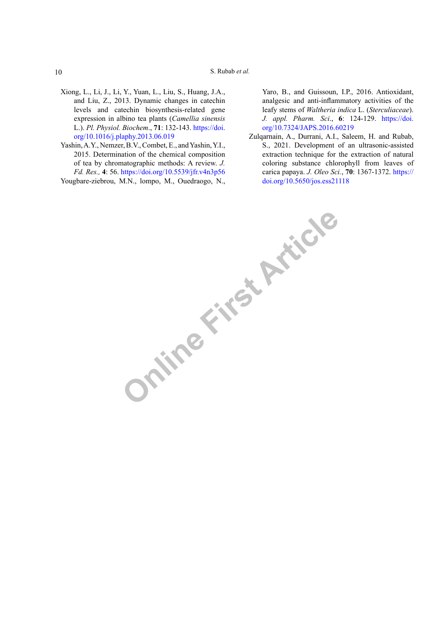S. Rubab *et al.*

- Xiong, L., Li, J., Li, Y., Yuan, L., Liu, S., Huang, J.A., and Liu, Z., 2013. Dynamic changes in catechin levels and catechin biosynthesis-related gene expression in albino tea plants (*Camellia sinensis* L.). *Pl. Physiol. Biochem*., **71**: 132-143. [https://doi.](https://doi.org/10.1016/j.plaphy.2013.06.019) [org/10.1016/j.plaphy.2013.06.019](https://doi.org/10.1016/j.plaphy.2013.06.019)
- Yashin, A.Y., Nemzer, B.V., Combet, E., and Yashin, Y.I., 2015. Determination of the chemical composition of tea by chromatographic methods: A review. *J. Fd. Res.,* **4**: 56. <https://doi.org/10.5539/jfr.v4n3p56> Yougbare-ziebrou, M.N., lompo, M., Ouedraogo, N.,

Yaro, B., and Guissoun, I.P., 2016. Antioxidant, analgesic and anti-inflammatory activities of the leafy stems of *Waltheria indica* L. (*Sterculiaceae*). *J. appl. Pharm. Sci*., **6**: 124-129. [https://doi.](https://doi.org/10.7324/JAPS.2016.60219) [org/10.7324/JAPS.2016.60219](https://doi.org/10.7324/JAPS.2016.60219)

Zulqarnain, A., Durrani, A.I., Saleem, H. and Rubab, S., 2021. Development of an ultrasonic-assisted extraction technique for the extraction of natural coloring substance chlorophyll from leaves of carica papaya. *J. Oleo Sci.*, **70**: 1367-1372. [https://](https://doi.org/10.5650/jos.ess21118) [doi.org/10.5650/jos.ess21118](https://doi.org/10.5650/jos.ess21118)

**Online First Article** 

10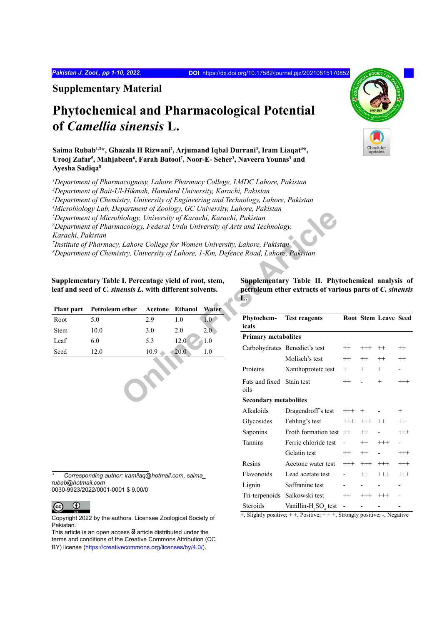**Supplementary Material**

# **Phytochemical and Pharmacological Potential of** *Camellia sinensis* **L.**

Saima Rubab<sup>1,3</sup>\*, Ghazala H Rizwani<sup>2</sup>, Arjumand Iqbal Durrani<sup>3</sup>, Iram Liaqat<sup>4</sup>\*, Urooj Zafar<sup>5</sup>, Mahjabeen<sup>6</sup>, Farah Batool<sup>7</sup>, Noor-E- Seher<sup>3</sup>, Naveera Younas<sup>3</sup> and **Ayesha Sadiqa8**

 *Department of Pharmacognosy, Lahore Pharmacy College, LMDC Lahore, Pakistan Department of Bait-Ul-Hikmah, Hamdard University, Karachi, Pakistan Department of Chemistry, University of Engineering and Technology, Lahore, Pakistan Microbiology Lab, Department of Zoology, GC University, Lahore, Pakistan Department of Microbiology, University of Karachi, Karachi, Pakistan*

*6 Department of Pharmacology, Federal Urdu University of Arts and Technology, Karachi, Pakistan*

*7 Institute of Pharmacy, Lahore College for Women University, Lahore, Pakistan 8 Department of Chemistry, University of Lahore, 1-Km, Defence Road, Lahore, Pakistan*

**Supplementary Table I. Percentage yield of root, stem, leaf and seed of** *C. sinensis L.* **with different solvents.**

|             | Plant part Petroleum ether Acetone Ethanol |      |      | Water |
|-------------|--------------------------------------------|------|------|-------|
| Root        | 5.0                                        | 29   | 10   | Ŀ0    |
| <b>Stem</b> | 10.0                                       | 3.0  | 2.0  | 2.0   |
| Leaf        | 6.0                                        | 5.3  | 12.0 | 10    |
| Seed        | 12.0                                       | 10.9 | 20.0 | 10    |

*\* Corresponding author: iramliaq@hotmail.com, saima\_ rubab@hotmail.com*

0030-9923/2022/0001-0001 \$ 9.00/0



Copyright 2022 by the authors. Licensee Zoological Society of Pakistan.

This article is an open access  $\Theta$  article distributed under the terms and conditions of the Creative Commons Attribution (CC BY) license (https://creativecommons.org/licenses/by/4.0/).

|             |                                                                         |                       | viology, University of Karachi, Karachi, Pakistan | $p$ arinchi of Eoology, OC University, Eunore, I amsuni<br>acology, Federal Urdu University of Arts and Technology,<br>Lahore College for Women University, Lahore, Pakistan<br>stry, University of Lahore, 1-Km, Defence Road, Lahore, Pakistan |                                                                                                               |          |          |                      |          |
|-------------|-------------------------------------------------------------------------|-----------------------|---------------------------------------------------|--------------------------------------------------------------------------------------------------------------------------------------------------------------------------------------------------------------------------------------------------|---------------------------------------------------------------------------------------------------------------|----------|----------|----------------------|----------|
|             | I. Percentage yield of root, stem,<br>ensis L. with different solvents. |                       |                                                   | L.                                                                                                                                                                                                                                               | Supplementary Table II. Phytochemical analysis of<br>petroleum ether extracts of various parts of C. sinensis |          |          |                      |          |
| ether       | Acetone<br>2.9                                                          | <b>Ethanol</b><br>1.0 | Water<br>1.0                                      | Phytochem-                                                                                                                                                                                                                                       | <b>Test reagents</b>                                                                                          |          |          | Root Stem Leave Seed |          |
|             | 3.0                                                                     | 2.0                   | 2.0                                               | icals                                                                                                                                                                                                                                            |                                                                                                               |          |          |                      |          |
|             | 5.3                                                                     | 12.0                  | 1.0                                               | <b>Primary metabolites</b>                                                                                                                                                                                                                       |                                                                                                               |          |          |                      |          |
|             | 10.9                                                                    | 20.0                  | 1.0                                               |                                                                                                                                                                                                                                                  | Carbohydrates Benedict's test<br>Molisch's test                                                               | $^{++}$  | $^{+++}$ | $^{++}$              | $^{++}$  |
|             |                                                                         |                       |                                                   |                                                                                                                                                                                                                                                  |                                                                                                               | $^{++}$  | $^{++}$  | $^{++}$              | $^{++}$  |
|             |                                                                         |                       |                                                   | Proteins                                                                                                                                                                                                                                         | Xanthoproteic test                                                                                            | $^{+}$   | $^{+}$   | $^{+}$               |          |
|             |                                                                         |                       |                                                   | Fats and fixed Stain test<br>oils                                                                                                                                                                                                                |                                                                                                               | $^{++}$  |          | $^{+}$               | $+++$    |
|             |                                                                         |                       |                                                   | <b>Secondary metabolites</b>                                                                                                                                                                                                                     |                                                                                                               |          |          |                      |          |
|             |                                                                         |                       |                                                   | Alkaloids                                                                                                                                                                                                                                        | Dragendroff's test                                                                                            | $^{+++}$ | $^{+}$   |                      | $^{+}$   |
|             |                                                                         |                       |                                                   | Glycosides                                                                                                                                                                                                                                       | Fehling's test                                                                                                | $^{+++}$ | $^{+++}$ | $^{++}$              | $^{++}$  |
|             |                                                                         |                       |                                                   | Saponins                                                                                                                                                                                                                                         | Froth formation test ++                                                                                       |          | $^{++}$  |                      | $^{+++}$ |
|             |                                                                         |                       |                                                   | <b>Tannins</b>                                                                                                                                                                                                                                   | Ferric chloride test                                                                                          |          | $^{++}$  | $^{+++}$             |          |
|             |                                                                         |                       |                                                   |                                                                                                                                                                                                                                                  | Gelatin test                                                                                                  | $^{++}$  | $^{++}$  |                      | $^{+++}$ |
|             |                                                                         |                       |                                                   | Resins                                                                                                                                                                                                                                           | Acetone water test                                                                                            | $^{+++}$ | $^{+++}$ | $^{+++}$             | $^{+++}$ |
|             | r: iramliaq@hotmail.com, saima                                          |                       |                                                   | Flavonoids                                                                                                                                                                                                                                       | Lead acetate test                                                                                             |          | $^{++}$  | $^{+++}$             | $^{+++}$ |
| 01 \$9.00/0 |                                                                         |                       |                                                   | Lignin                                                                                                                                                                                                                                           | Saffranine test                                                                                               |          |          |                      |          |
|             |                                                                         |                       |                                                   |                                                                                                                                                                                                                                                  | Tri-terpenoids Salkowski test                                                                                 | $^{++}$  | $+++$    | $+++$                |          |
|             |                                                                         |                       |                                                   | Steroids                                                                                                                                                                                                                                         | Vanillin-H <sub>2</sub> SO <sub>4</sub> test                                                                  |          |          |                      |          |
|             |                                                                         |                       |                                                   |                                                                                                                                                                                                                                                  |                                                                                                               |          |          |                      |          |

+, Slightly positive; + +, Positive; + + +, Strongly positive; -, Negative